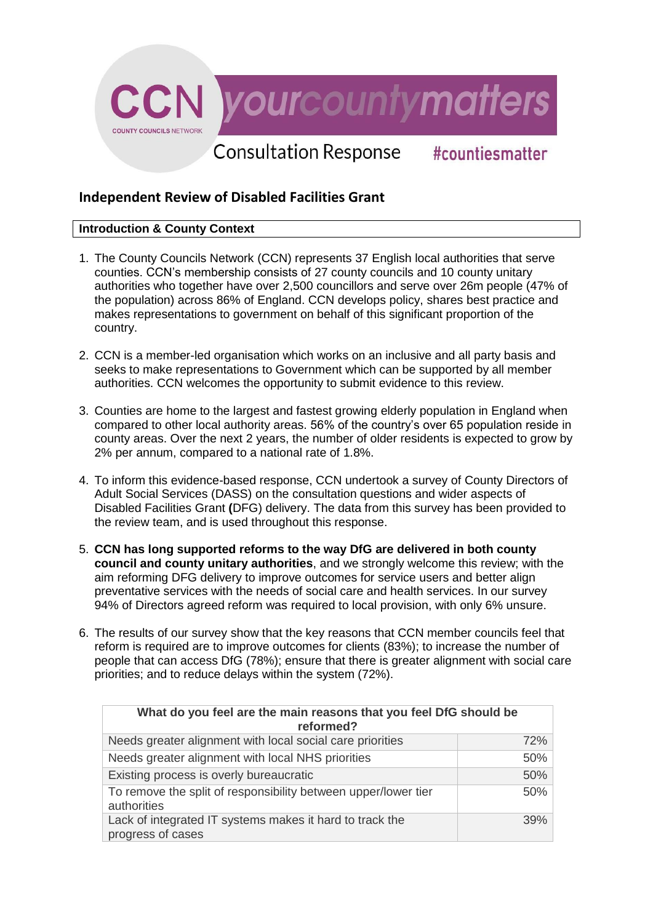

# **Independent Review of Disabled Facilities Grant**

# **Introduction & County Context**

- 1. The County Councils Network (CCN) represents 37 English local authorities that serve counties. CCN's membership consists of 27 county councils and 10 county unitary authorities who together have over 2,500 councillors and serve over 26m people (47% of the population) across 86% of England. CCN develops policy, shares best practice and makes representations to government on behalf of this significant proportion of the country.
- 2. CCN is a member-led organisation which works on an inclusive and all party basis and seeks to make representations to Government which can be supported by all member authorities. CCN welcomes the opportunity to submit evidence to this review.
- 3. Counties are home to the largest and fastest growing elderly population in England when compared to other local authority areas. 56% of the country's over 65 population reside in county areas. Over the next 2 years, the number of older residents is expected to grow by 2% per annum, compared to a national rate of 1.8%.
- 4. To inform this evidence-based response, CCN undertook a survey of County Directors of Adult Social Services (DASS) on the consultation questions and wider aspects of Disabled Facilities Grant **(**DFG) delivery. The data from this survey has been provided to the review team, and is used throughout this response.
- 5. **CCN has long supported reforms to the way DfG are delivered in both county council and county unitary authorities**, and we strongly welcome this review; with the aim reforming DFG delivery to improve outcomes for service users and better align preventative services with the needs of social care and health services. In our survey 94% of Directors agreed reform was required to local provision, with only 6% unsure.
- 6. The results of our survey show that the key reasons that CCN member councils feel that reform is required are to improve outcomes for clients (83%); to increase the number of people that can access DfG (78%); ensure that there is greater alignment with social care priorities; and to reduce delays within the system (72%).

| What do you feel are the main reasons that you feel DfG should be<br>reformed? |     |  |
|--------------------------------------------------------------------------------|-----|--|
| Needs greater alignment with local social care priorities                      | 72% |  |
| Needs greater alignment with local NHS priorities                              | 50% |  |
| Existing process is overly bureaucratic                                        | 50% |  |
| To remove the split of responsibility between upper/lower tier<br>authorities  | 50% |  |
| Lack of integrated IT systems makes it hard to track the<br>progress of cases  | 39% |  |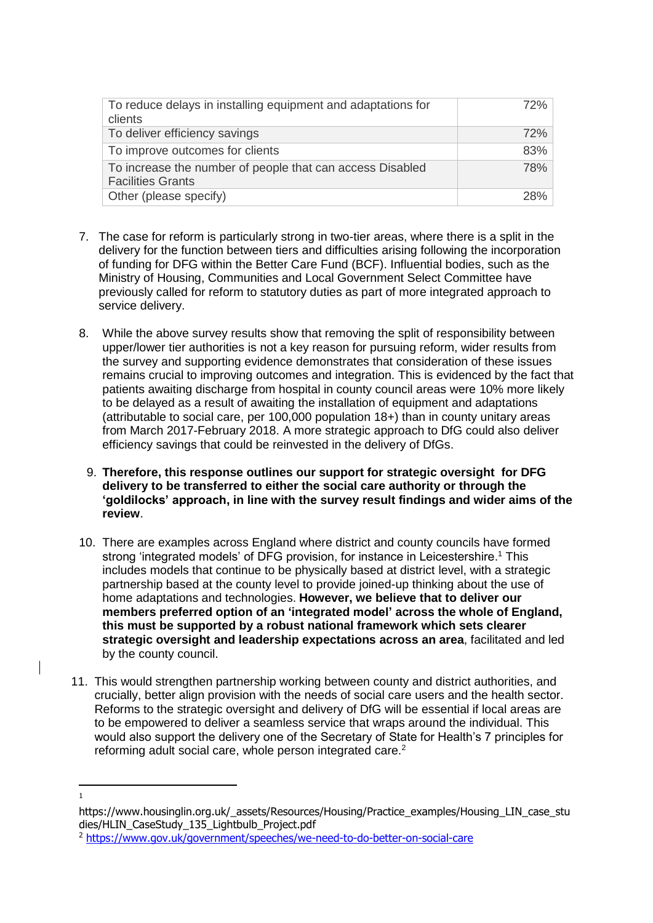| To reduce delays in installing equipment and adaptations for<br>clients               | 72% |
|---------------------------------------------------------------------------------------|-----|
| To deliver efficiency savings                                                         | 72% |
| To improve outcomes for clients                                                       | 83% |
| To increase the number of people that can access Disabled<br><b>Facilities Grants</b> | 78% |
| Other (please specify)                                                                | 28% |

- 7. The case for reform is particularly strong in two-tier areas, where there is a split in the delivery for the function between tiers and difficulties arising following the incorporation of funding for DFG within the Better Care Fund (BCF). Influential bodies, such as the Ministry of Housing, Communities and Local Government Select Committee have previously called for reform to statutory duties as part of more integrated approach to service delivery.
- 8. While the above survey results show that removing the split of responsibility between upper/lower tier authorities is not a key reason for pursuing reform, wider results from the survey and supporting evidence demonstrates that consideration of these issues remains crucial to improving outcomes and integration. This is evidenced by the fact that patients awaiting discharge from hospital in county council areas were 10% more likely to be delayed as a result of awaiting the installation of equipment and adaptations (attributable to social care, per 100,000 population 18+) than in county unitary areas from March 2017-February 2018. A more strategic approach to DfG could also deliver efficiency savings that could be reinvested in the delivery of DfGs.
	- 9. **Therefore, this response outlines our support for strategic oversight for DFG delivery to be transferred to either the social care authority or through the 'goldilocks' approach, in line with the survey result findings and wider aims of the review**.
- 10. There are examples across England where district and county councils have formed strong 'integrated models' of DFG provision, for instance in Leicestershire.<sup>1</sup> This includes models that continue to be physically based at district level, with a strategic partnership based at the county level to provide joined-up thinking about the use of home adaptations and technologies. **However, we believe that to deliver our members preferred option of an 'integrated model' across the whole of England, this must be supported by a robust national framework which sets clearer strategic oversight and leadership expectations across an area**, facilitated and led by the county council.
- 11. This would strengthen partnership working between county and district authorities, and crucially, better align provision with the needs of social care users and the health sector. Reforms to the strategic oversight and delivery of DfG will be essential if local areas are to be empowered to deliver a seamless service that wraps around the individual. This would also support the delivery one of the Secretary of State for Health's 7 principles for reforming adult social care, whole person integrated care.<sup>2</sup>
- **.** 1

https://www.housinglin.org.uk/\_assets/Resources/Housing/Practice\_examples/Housing\_LIN\_case\_stu dies/HLIN\_CaseStudy\_135\_Lightbulb\_Project.pdf

<sup>2</sup> <https://www.gov.uk/government/speeches/we-need-to-do-better-on-social-care>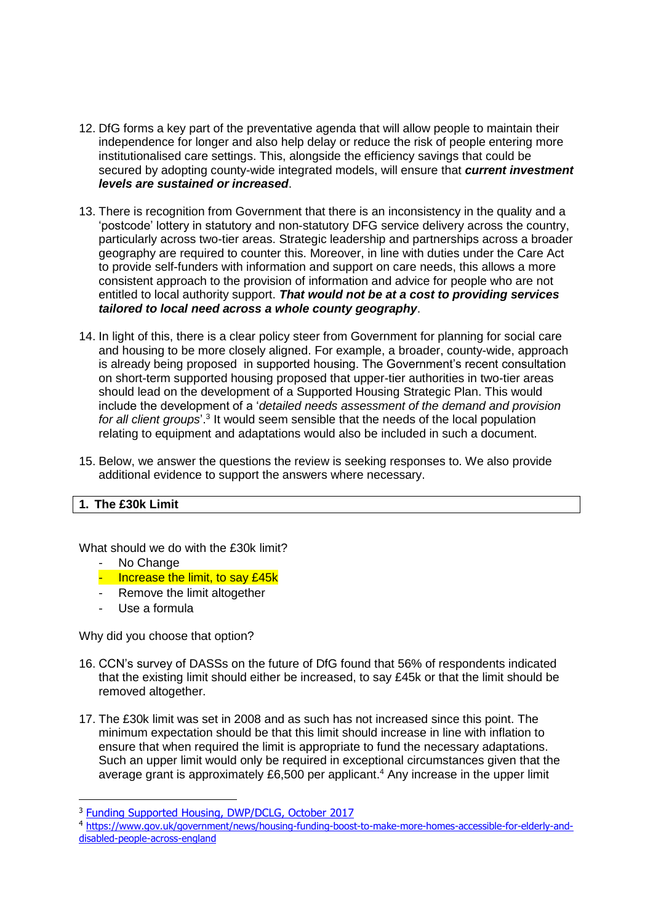- 12. DfG forms a key part of the preventative agenda that will allow people to maintain their independence for longer and also help delay or reduce the risk of people entering more institutionalised care settings. This, alongside the efficiency savings that could be secured by adopting county-wide integrated models, will ensure that *current investment levels are sustained or increased*.
- 13. There is recognition from Government that there is an inconsistency in the quality and a 'postcode' lottery in statutory and non-statutory DFG service delivery across the country, particularly across two-tier areas. Strategic leadership and partnerships across a broader geography are required to counter this. Moreover, in line with duties under the Care Act to provide self-funders with information and support on care needs, this allows a more consistent approach to the provision of information and advice for people who are not entitled to local authority support. *That would not be at a cost to providing services tailored to local need across a whole county geography*.
- 14. In light of this, there is a clear policy steer from Government for planning for social care and housing to be more closely aligned. For example, a broader, county-wide, approach is already being proposed in supported housing. The Government's recent consultation on short-term supported housing proposed that upper-tier authorities in two-tier areas should lead on the development of a Supported Housing Strategic Plan. This would include the development of a '*detailed needs assessment of the demand and provision*  for all client groups<sup>'</sup>.<sup>3</sup> It would seem sensible that the needs of the local population relating to equipment and adaptations would also be included in such a document.
- 15. Below, we answer the questions the review is seeking responses to. We also provide additional evidence to support the answers where necessary.

#### **1. The £30k Limit**

What should we do with the £30k limit?

- No Change
- Increase the limit, to say £45k
- Remove the limit altogether
- Use a formula

**.** 

Why did you choose that option?

- 16. CCN's survey of DASSs on the future of DfG found that 56% of respondents indicated that the existing limit should either be increased, to say £45k or that the limit should be removed altogether.
- 17. The £30k limit was set in 2008 and as such has not increased since this point. The minimum expectation should be that this limit should increase in line with inflation to ensure that when required the limit is appropriate to fund the necessary adaptations. Such an upper limit would only be required in exceptional circumstances given that the average grant is approximately £6,500 per applicant.<sup>4</sup> Any increase in the upper limit

<sup>3</sup> [Funding Supported Housing, DWP/DCLG, October 2017](https://www.google.co.uk/search?q=integrated+delivery+disabled+facilities+grant+multidisciplinary+team&safe=strict&tbs=qdr:y&ei=hDrXWrCWOcH2gQbYxww&start=10&sa=N&biw=1364&bih=605)

<sup>4</sup> [https://www.gov.uk/government/news/housing-funding-boost-to-make-more-homes-accessible-for-elderly-and](https://www.gov.uk/government/news/housing-funding-boost-to-make-more-homes-accessible-for-elderly-and-disabled-people-across-england)[disabled-people-across-england](https://www.gov.uk/government/news/housing-funding-boost-to-make-more-homes-accessible-for-elderly-and-disabled-people-across-england)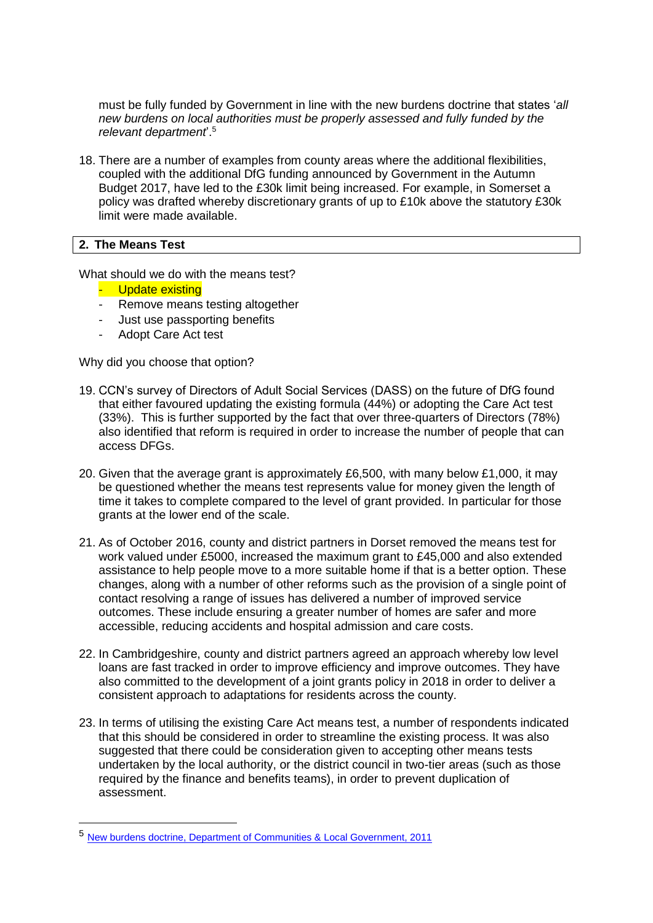must be fully funded by Government in line with the new burdens doctrine that states '*all new burdens on local authorities must be properly assessed and fully funded by the relevant department*'. 5

18. There are a number of examples from county areas where the additional flexibilities, coupled with the additional DfG funding announced by Government in the Autumn Budget 2017, have led to the £30k limit being increased. For example, in Somerset a policy was drafted whereby discretionary grants of up to £10k above the statutory £30k limit were made available.

#### **2. The Means Test**

 $\overline{a}$ 

What should we do with the means test?

- Update existing
- Remove means testing altogether
- Just use passporting benefits
- Adopt Care Act test

Why did you choose that option?

- 19. CCN's survey of Directors of Adult Social Services (DASS) on the future of DfG found that either favoured updating the existing formula (44%) or adopting the Care Act test (33%). This is further supported by the fact that over three-quarters of Directors (78%) also identified that reform is required in order to increase the number of people that can access DFGs.
- 20. Given that the average grant is approximately £6,500, with many below £1,000, it may be questioned whether the means test represents value for money given the length of time it takes to complete compared to the level of grant provided. In particular for those grants at the lower end of the scale.
- 21. As of October 2016, county and district partners in Dorset removed the means test for work valued under £5000, increased the maximum grant to £45,000 and also extended assistance to help people move to a more suitable home if that is a better option. These changes, along with a number of other reforms such as the provision of a single point of contact resolving a range of issues has delivered a number of improved service outcomes. These include ensuring a greater number of homes are safer and more accessible, reducing accidents and hospital admission and care costs.
- 22. In Cambridgeshire, county and district partners agreed an approach whereby low level loans are fast tracked in order to improve efficiency and improve outcomes. They have also committed to the development of a joint grants policy in 2018 in order to deliver a consistent approach to adaptations for residents across the county.
- 23. In terms of utilising the existing Care Act means test, a number of respondents indicated that this should be considered in order to streamline the existing process. It was also suggested that there could be consideration given to accepting other means tests undertaken by the local authority, or the district council in two-tier areas (such as those required by the finance and benefits teams), in order to prevent duplication of assessment.

<sup>5</sup> [New burdens doctrine, Department of Communities & Local Government, 2011](https://assets.publishing.service.gov.uk/government/uploads/system/uploads/attachment_data/file/5960/1926282.pdf)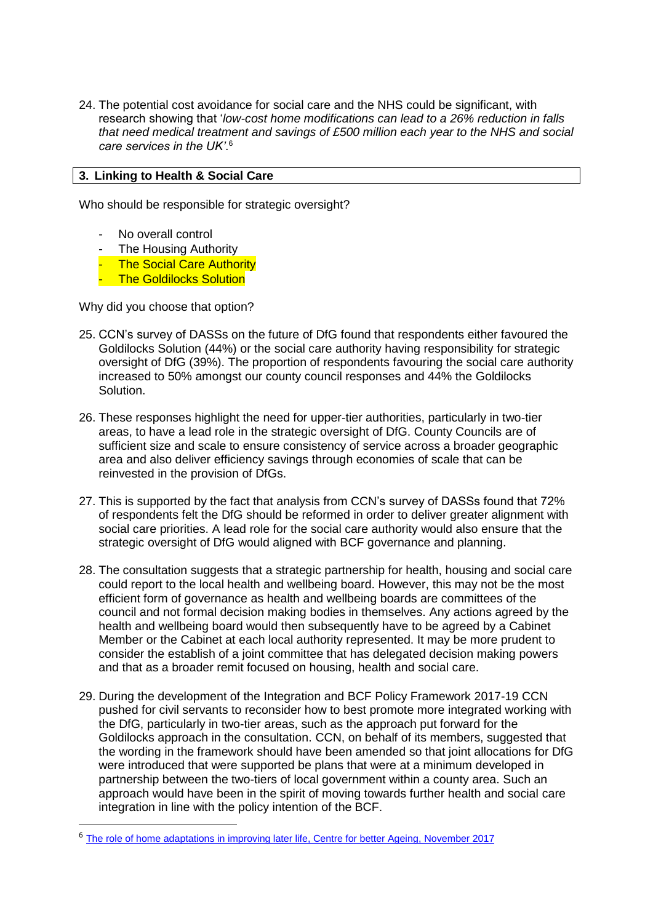24. The potential cost avoidance for social care and the NHS could be significant, with research showing that '*low-cost home modifications can lead to a 26% reduction in falls that need medical treatment and savings of £500 million each year to the NHS and social care services in the UK'*. 6

# **3. Linking to Health & Social Care**

Who should be responsible for strategic oversight?

- No overall control
- The Housing Authority
- **The Social Care Authority**
- The Goldilocks Solution

Why did you choose that option?

**.** 

- 25. CCN's survey of DASSs on the future of DfG found that respondents either favoured the Goldilocks Solution (44%) or the social care authority having responsibility for strategic oversight of DfG (39%). The proportion of respondents favouring the social care authority increased to 50% amongst our county council responses and 44% the Goldilocks Solution.
- 26. These responses highlight the need for upper-tier authorities, particularly in two-tier areas, to have a lead role in the strategic oversight of DfG. County Councils are of sufficient size and scale to ensure consistency of service across a broader geographic area and also deliver efficiency savings through economies of scale that can be reinvested in the provision of DfGs.
- 27. This is supported by the fact that analysis from CCN's survey of DASSs found that 72% of respondents felt the DfG should be reformed in order to deliver greater alignment with social care priorities. A lead role for the social care authority would also ensure that the strategic oversight of DfG would aligned with BCF governance and planning.
- 28. The consultation suggests that a strategic partnership for health, housing and social care could report to the local health and wellbeing board. However, this may not be the most efficient form of governance as health and wellbeing boards are committees of the council and not formal decision making bodies in themselves. Any actions agreed by the health and wellbeing board would then subsequently have to be agreed by a Cabinet Member or the Cabinet at each local authority represented. It may be more prudent to consider the establish of a joint committee that has delegated decision making powers and that as a broader remit focused on housing, health and social care.
- 29. During the development of the Integration and BCF Policy Framework 2017-19 CCN pushed for civil servants to reconsider how to best promote more integrated working with the DfG, particularly in two-tier areas, such as the approach put forward for the Goldilocks approach in the consultation. CCN, on behalf of its members, suggested that the wording in the framework should have been amended so that joint allocations for DfG were introduced that were supported be plans that were at a minimum developed in partnership between the two-tiers of local government within a county area. Such an approach would have been in the spirit of moving towards further health and social care integration in line with the policy intention of the BCF.

<sup>6</sup> [The role of home adaptations in improving later life, Centre for better Ageing, November 2017](http://www.foundations.uk.com/media/5010/room-to-improve_the-role-of-home-adaptations-in-improving-later-life_ab-action-report.pdf)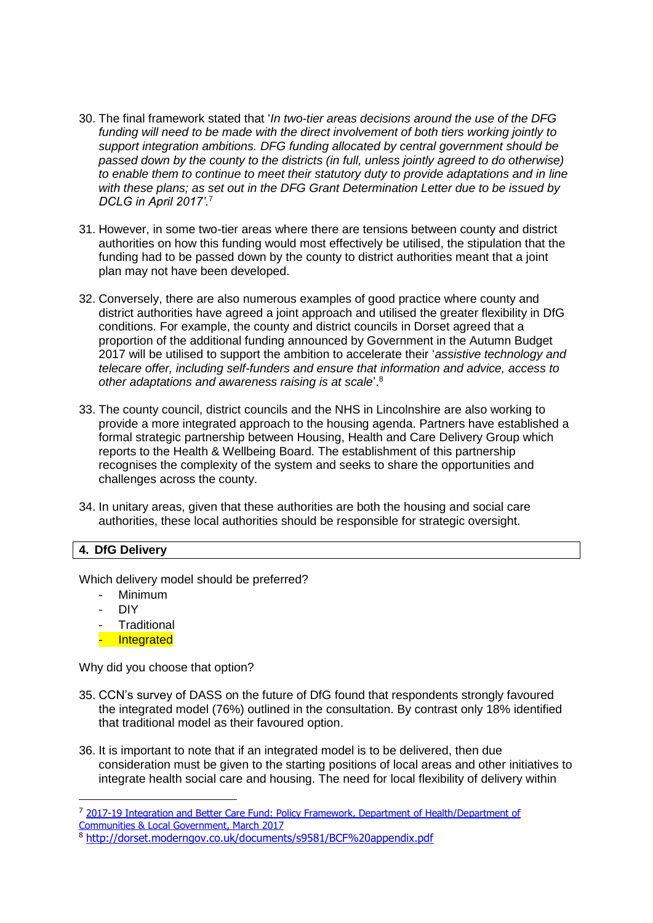- 30. The final framework stated that '*In two-tier areas decisions around the use of the DFG funding will need to be made with the direct involvement of both tiers working jointly to support integration ambitions. DFG funding allocated by central government should be passed down by the county to the districts (in full, unless jointly agreed to do otherwise) to enable them to continue to meet their statutory duty to provide adaptations and in line with these plans; as set out in the DFG Grant Determination Letter due to be issued by DCLG in April 2017'*. 7
- 31. However, in some two-tier areas where there are tensions between county and district authorities on how this funding would most effectively be utilised, the stipulation that the funding had to be passed down by the county to district authorities meant that a joint plan may not have been developed.
- 32. Conversely, there are also numerous examples of good practice where county and district authorities have agreed a joint approach and utilised the greater flexibility in DfG conditions. For example, the county and district councils in Dorset agreed that a proportion of the additional funding announced by Government in the Autumn Budget 2017 will be utilised to support the ambition to accelerate their '*assistive technology and telecare offer, including self-funders and ensure that information and advice, access to other adaptations and awareness raising is at scale*'.<sup>8</sup>
- 33. The county council, district councils and the NHS in Lincolnshire are also working to provide a more integrated approach to the housing agenda. Partners have established a formal strategic partnership between Housing, Health and Care Delivery Group which reports to the Health & Wellbeing Board. The establishment of this partnership recognises the complexity of the system and seeks to share the opportunities and challenges across the county.
- 34. In unitary areas, given that these authorities are both the housing and social care authorities, these local authorities should be responsible for strategic oversight.

## **4. DfG Delivery**

Which delivery model should be preferred?

- Minimum
- DIY

**.** 

- Traditional
- Integrated

Why did you choose that option?

- 35. CCN's survey of DASS on the future of DfG found that respondents strongly favoured the integrated model (76%) outlined in the consultation. By contrast only 18% identified that traditional model as their favoured option.
- 36. It is important to note that if an integrated model is to be delivered, then due consideration must be given to the starting positions of local areas and other initiatives to integrate health social care and housing. The need for local flexibility of delivery within

<sup>&</sup>lt;sup>7</sup> 2017-19 Integration and Better Care **Fund: Policy Framework, Department of Health/Department of** [Communities & Local Government, March 2017](https://assets.publishing.service.gov.uk/government/uploads/system/uploads/attachment_data/file/607754/Integration_and_BCF_policy_framework_2017-19.pdf)

<sup>8</sup> <http://dorset.moderngov.co.uk/documents/s9581/BCF%20appendix.pdf>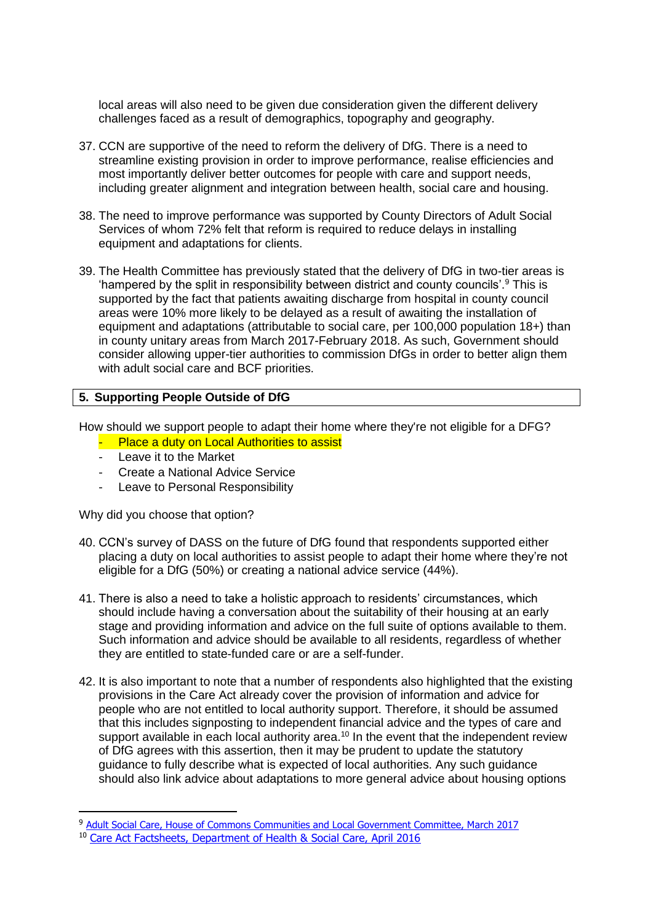local areas will also need to be given due consideration given the different delivery challenges faced as a result of demographics, topography and geography.

- 37. CCN are supportive of the need to reform the delivery of DfG. There is a need to streamline existing provision in order to improve performance, realise efficiencies and most importantly deliver better outcomes for people with care and support needs, including greater alignment and integration between health, social care and housing.
- 38. The need to improve performance was supported by County Directors of Adult Social Services of whom 72% felt that reform is required to reduce delays in installing equipment and adaptations for clients.
- 39. The Health Committee has previously stated that the delivery of DfG in two-tier areas is 'hampered by the split in responsibility between district and county councils'.<sup>9</sup> This is supported by the fact that patients awaiting discharge from hospital in county council areas were 10% more likely to be delayed as a result of awaiting the installation of equipment and adaptations (attributable to social care, per 100,000 population 18+) than in county unitary areas from March 2017-February 2018. As such, Government should consider allowing upper-tier authorities to commission DfGs in order to better align them with adult social care and BCF priorities.

## **5. Supporting People Outside of DfG**

How should we support people to adapt their home where they're not eligible for a DFG?

- Place a duty on Local Authorities to assist
- Leave it to the Market
- **Create a National Advice Service**
- Leave to Personal Responsibility

Why did you choose that option?

**.** 

- 40. CCN's survey of DASS on the future of DfG found that respondents supported either placing a duty on local authorities to assist people to adapt their home where they're not eligible for a DfG (50%) or creating a national advice service (44%).
- 41. There is also a need to take a holistic approach to residents' circumstances, which should include having a conversation about the suitability of their housing at an early stage and providing information and advice on the full suite of options available to them. Such information and advice should be available to all residents, regardless of whether they are entitled to state-funded care or are a self-funder.
- 42. It is also important to note that a number of respondents also highlighted that the existing provisions in the Care Act already cover the provision of information and advice for people who are not entitled to local authority support. Therefore, it should be assumed that this includes signposting to independent financial advice and the types of care and support available in each local authority area.<sup>10</sup> In the event that the independent review of DfG agrees with this assertion, then it may be prudent to update the statutory guidance to fully describe what is expected of local authorities. Any such guidance should also link advice about adaptations to more general advice about housing options

<sup>&</sup>lt;sup>9</sup> Adult Social Care, House of Commons Communities and Local Government Committee, March 2017

<sup>10</sup> [Care Act Factsheets, Department of Health & Social Care, April 2016](https://www.gov.uk/government/publications/care-act-2014-part-1-factsheets/care-act-factsheets#factsheet-1-general-responsibilities-of-local-authorities-prevention-information-and-advice-and-shaping-the-market-of-care-and-support-services)